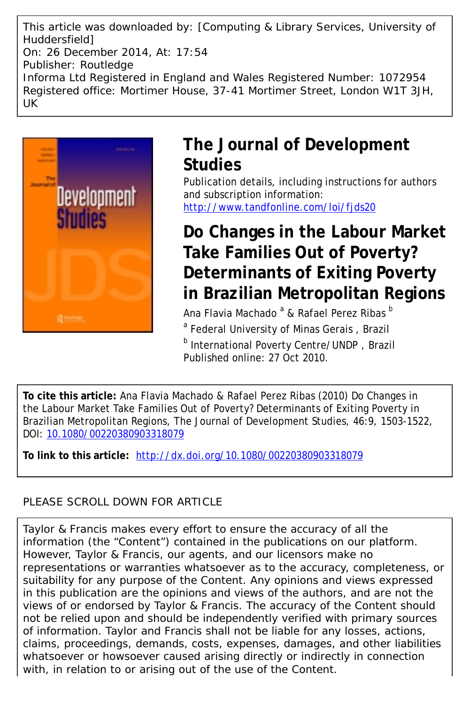This article was downloaded by: [Computing & Library Services, University of Huddersfield] On: 26 December 2014, At: 17:54 Publisher: Routledge Informa Ltd Registered in England and Wales Registered Number: 1072954 Registered office: Mortimer House, 37-41 Mortimer Street, London W1T 3JH, UK



# **The Journal of Development Studies**

Publication details, including instructions for authors and subscription information: <http://www.tandfonline.com/loi/fjds20>

# **Do Changes in the Labour Market Take Families Out of Poverty? Determinants of Exiting Poverty in Brazilian Metropolitan Regions**

Ana Flavia Machado <sup>a</sup> & Rafael Perez Ribas <sup>b</sup>

<sup>a</sup> Federal University of Minas Gerais, Brazil

<sup>b</sup> International Poverty Centre/UNDP, Brazil Published online: 27 Oct 2010.

**To cite this article:** Ana Flavia Machado & Rafael Perez Ribas (2010) Do Changes in the Labour Market Take Families Out of Poverty? Determinants of Exiting Poverty in Brazilian Metropolitan Regions, The Journal of Development Studies, 46:9, 1503-1522, DOI: [10.1080/00220380903318079](http://www.tandfonline.com/action/showCitFormats?doi=10.1080/00220380903318079)

**To link to this article:** <http://dx.doi.org/10.1080/00220380903318079>

# PLEASE SCROLL DOWN FOR ARTICLE

Taylor & Francis makes every effort to ensure the accuracy of all the information (the "Content") contained in the publications on our platform. However, Taylor & Francis, our agents, and our licensors make no representations or warranties whatsoever as to the accuracy, completeness, or suitability for any purpose of the Content. Any opinions and views expressed in this publication are the opinions and views of the authors, and are not the views of or endorsed by Taylor & Francis. The accuracy of the Content should not be relied upon and should be independently verified with primary sources of information. Taylor and Francis shall not be liable for any losses, actions, claims, proceedings, demands, costs, expenses, damages, and other liabilities whatsoever or howsoever caused arising directly or indirectly in connection with, in relation to or arising out of the use of the Content.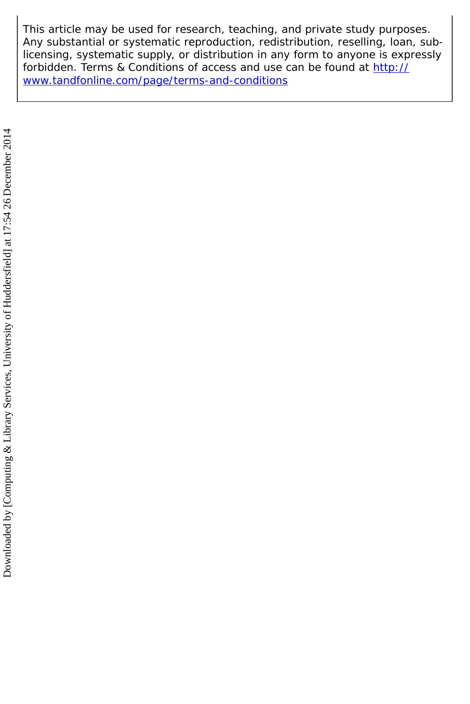This article may be used for research, teaching, and private study purposes. Any substantial or systematic reproduction, redistribution, reselling, loan, sublicensing, systematic supply, or distribution in any form to anyone is expressly forbidden. Terms & Conditions of access and use can be found at [http://](http://www.tandfonline.com/page/terms-and-conditions) [www.tandfonline.com/page/terms-and-conditions](http://www.tandfonline.com/page/terms-and-conditions)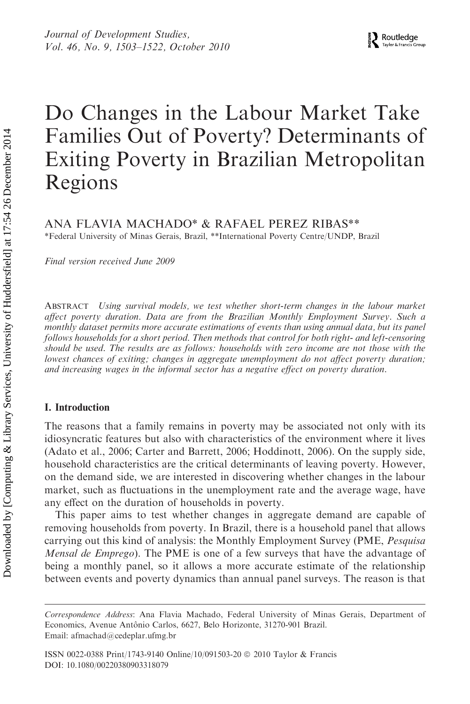# Do Changes in the Labour Market Take Families Out of Poverty? Determinants of Exiting Poverty in Brazilian Metropolitan Regions

ANA FLAVIA MACHADO\* & RAFAEL PEREZ RIBAS\*\* \*Federal University of Minas Gerais, Brazil, \*\*International Poverty Centre/UNDP, Brazil

Final version received June 2009

ABSTRACT Using survival models, we test whether short-term changes in the labour market affect poverty duration. Data are from the Brazilian Monthly Employment Survey. Such a monthly dataset permits more accurate estimations of events than using annual data, but its panel follows households for a short period. Then methods that control for both right- and left-censoring should be used. The results are as follows: households with zero income are not those with the lowest chances of exiting; changes in aggregate unemployment do not affect poverty duration; and increasing wages in the informal sector has a negative effect on poverty duration.

### I. Introduction

The reasons that a family remains in poverty may be associated not only with its idiosyncratic features but also with characteristics of the environment where it lives (Adato et al., 2006; Carter and Barrett, 2006; Hoddinott, 2006). On the supply side, household characteristics are the critical determinants of leaving poverty. However, on the demand side, we are interested in discovering whether changes in the labour market, such as fluctuations in the unemployment rate and the average wage, have any effect on the duration of households in poverty.

This paper aims to test whether changes in aggregate demand are capable of removing households from poverty. In Brazil, there is a household panel that allows carrying out this kind of analysis: the Monthly Employment Survey (PME, Pesquisa Mensal de Emprego). The PME is one of a few surveys that have the advantage of being a monthly panel, so it allows a more accurate estimate of the relationship between events and poverty dynamics than annual panel surveys. The reason is that

Correspondence Address: Ana Flavia Machado, Federal University of Minas Gerais, Department of Economics, Avenue Antônio Carlos, 6627, Belo Horizonte, 31270-901 Brazil. Email: afmachad@cedeplar.ufmg.br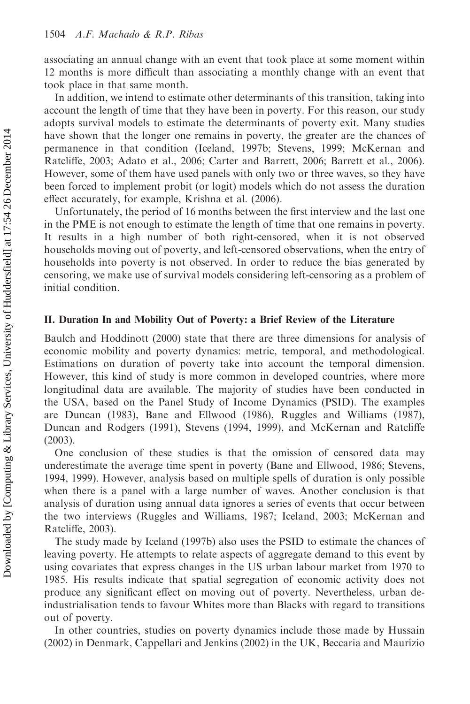associating an annual change with an event that took place at some moment within 12 months is more difficult than associating a monthly change with an event that took place in that same month.

In addition, we intend to estimate other determinants of this transition, taking into account the length of time that they have been in poverty. For this reason, our study adopts survival models to estimate the determinants of poverty exit. Many studies have shown that the longer one remains in poverty, the greater are the chances of permanence in that condition (Iceland, 1997b; Stevens, 1999; McKernan and Ratcliffe, 2003; Adato et al., 2006; Carter and Barrett, 2006; Barrett et al., 2006). However, some of them have used panels with only two or three waves, so they have been forced to implement probit (or logit) models which do not assess the duration effect accurately, for example, Krishna et al. (2006).

Unfortunately, the period of 16 months between the first interview and the last one in the PME is not enough to estimate the length of time that one remains in poverty. It results in a high number of both right-censored, when it is not observed households moving out of poverty, and left-censored observations, when the entry of households into poverty is not observed. In order to reduce the bias generated by censoring, we make use of survival models considering left-censoring as a problem of initial condition.

### II. Duration In and Mobility Out of Poverty: a Brief Review of the Literature

Baulch and Hoddinott (2000) state that there are three dimensions for analysis of economic mobility and poverty dynamics: metric, temporal, and methodological. Estimations on duration of poverty take into account the temporal dimension. However, this kind of study is more common in developed countries, where more longitudinal data are available. The majority of studies have been conducted in the USA, based on the Panel Study of Income Dynamics (PSID). The examples are Duncan (1983), Bane and Ellwood (1986), Ruggles and Williams (1987), Duncan and Rodgers (1991), Stevens (1994, 1999), and McKernan and Ratcliffe (2003).

One conclusion of these studies is that the omission of censored data may underestimate the average time spent in poverty (Bane and Ellwood, 1986; Stevens, 1994, 1999). However, analysis based on multiple spells of duration is only possible when there is a panel with a large number of waves. Another conclusion is that analysis of duration using annual data ignores a series of events that occur between the two interviews (Ruggles and Williams, 1987; Iceland, 2003; McKernan and Ratcliffe, 2003).

The study made by Iceland (1997b) also uses the PSID to estimate the chances of leaving poverty. He attempts to relate aspects of aggregate demand to this event by using covariates that express changes in the US urban labour market from 1970 to 1985. His results indicate that spatial segregation of economic activity does not produce any significant effect on moving out of poverty. Nevertheless, urban deindustrialisation tends to favour Whites more than Blacks with regard to transitions out of poverty.

In other countries, studies on poverty dynamics include those made by Hussain  $(2002)$  in Denmark, Cappellari and Jenkins  $(2002)$  in the UK, Beccaria and Maurizio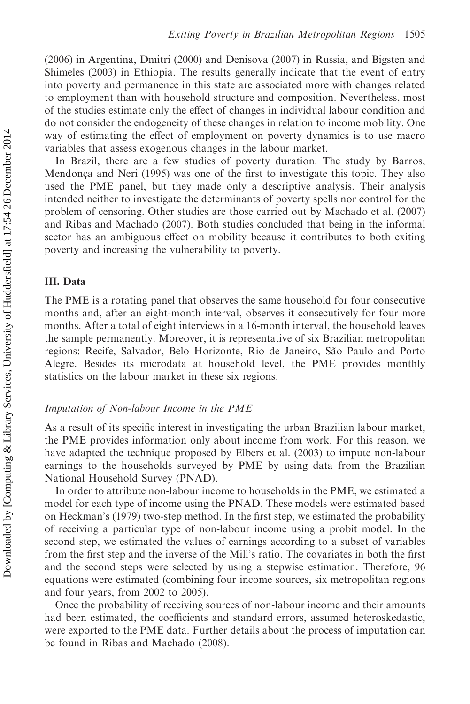(2006) in Argentina, Dmitri (2000) and Denisova (2007) in Russia, and Bigsten and Shimeles (2003) in Ethiopia. The results generally indicate that the event of entry into poverty and permanence in this state are associated more with changes related to employment than with household structure and composition. Nevertheless, most of the studies estimate only the effect of changes in individual labour condition and do not consider the endogeneity of these changes in relation to income mobility. One way of estimating the effect of employment on poverty dynamics is to use macro variables that assess exogenous changes in the labour market.

In Brazil, there are a few studies of poverty duration. The study by Barros, Mendonça and Neri (1995) was one of the first to investigate this topic. They also used the PME panel, but they made only a descriptive analysis. Their analysis intended neither to investigate the determinants of poverty spells nor control for the problem of censoring. Other studies are those carried out by Machado et al. (2007) and Ribas and Machado (2007). Both studies concluded that being in the informal sector has an ambiguous effect on mobility because it contributes to both exiting poverty and increasing the vulnerability to poverty.

#### III. Data

The PME is a rotating panel that observes the same household for four consecutive months and, after an eight-month interval, observes it consecutively for four more months. After a total of eight interviews in a 16-month interval, the household leaves the sample permanently. Moreover, it is representative of six Brazilian metropolitan regions: Recife, Salvador, Belo Horizonte, Rio de Janeiro, São Paulo and Porto Alegre. Besides its microdata at household level, the PME provides monthly statistics on the labour market in these six regions.

# Imputation of Non-labour Income in the PME

As a result of its specific interest in investigating the urban Brazilian labour market, the PME provides information only about income from work. For this reason, we have adapted the technique proposed by Elbers et al. (2003) to impute non-labour earnings to the households surveyed by PME by using data from the Brazilian National Household Survey (PNAD).

In order to attribute non-labour income to households in the PME, we estimated a model for each type of income using the PNAD. These models were estimated based on Heckman's (1979) two-step method. In the first step, we estimated the probability of receiving a particular type of non-labour income using a probit model. In the second step, we estimated the values of earnings according to a subset of variables from the first step and the inverse of the Mill's ratio. The covariates in both the first and the second steps were selected by using a stepwise estimation. Therefore, 96 equations were estimated (combining four income sources, six metropolitan regions and four years, from 2002 to 2005).

Once the probability of receiving sources of non-labour income and their amounts had been estimated, the coefficients and standard errors, assumed heteroskedastic, were exported to the PME data. Further details about the process of imputation can be found in Ribas and Machado (2008).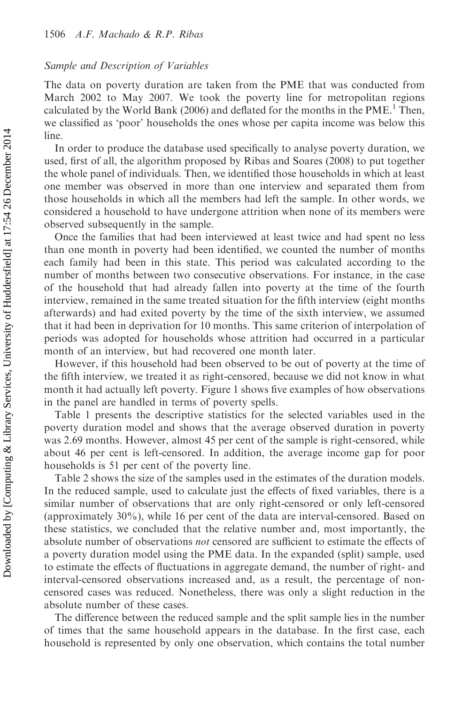#### Sample and Description of Variables

The data on poverty duration are taken from the PME that was conducted from March 2002 to May 2007. We took the poverty line for metropolitan regions calculated by the World Bank (2006) and deflated for the months in the PME.<sup>1</sup> Then, we classified as 'poor' households the ones whose per capita income was below this line.

In order to produce the database used specifically to analyse poverty duration, we used, first of all, the algorithm proposed by Ribas and Soares (2008) to put together the whole panel of individuals. Then, we identified those households in which at least one member was observed in more than one interview and separated them from those households in which all the members had left the sample. In other words, we considered a household to have undergone attrition when none of its members were observed subsequently in the sample.

Once the families that had been interviewed at least twice and had spent no less than one month in poverty had been identified, we counted the number of months each family had been in this state. This period was calculated according to the number of months between two consecutive observations. For instance, in the case of the household that had already fallen into poverty at the time of the fourth interview, remained in the same treated situation for the fifth interview (eight months afterwards) and had exited poverty by the time of the sixth interview, we assumed that it had been in deprivation for 10 months. This same criterion of interpolation of periods was adopted for households whose attrition had occurred in a particular month of an interview, but had recovered one month later.

However, if this household had been observed to be out of poverty at the time of the fifth interview, we treated it as right-censored, because we did not know in what month it had actually left poverty. Figure 1 shows five examples of how observations in the panel are handled in terms of poverty spells.

Table 1 presents the descriptive statistics for the selected variables used in the poverty duration model and shows that the average observed duration in poverty was 2.69 months. However, almost 45 per cent of the sample is right-censored, while about 46 per cent is left-censored. In addition, the average income gap for poor households is 51 per cent of the poverty line.

Table 2 shows the size of the samples used in the estimates of the duration models. In the reduced sample, used to calculate just the effects of fixed variables, there is a similar number of observations that are only right-censored or only left-censored (approximately 30%), while 16 per cent of the data are interval-censored. Based on these statistics, we concluded that the relative number and, most importantly, the absolute number of observations *not* censored are sufficient to estimate the effects of a poverty duration model using the PME data. In the expanded (split) sample, used to estimate the effects of fluctuations in aggregate demand, the number of right- and interval-censored observations increased and, as a result, the percentage of noncensored cases was reduced. Nonetheless, there was only a slight reduction in the absolute number of these cases.

The difference between the reduced sample and the split sample lies in the number of times that the same household appears in the database. In the first case, each household is represented by only one observation, which contains the total number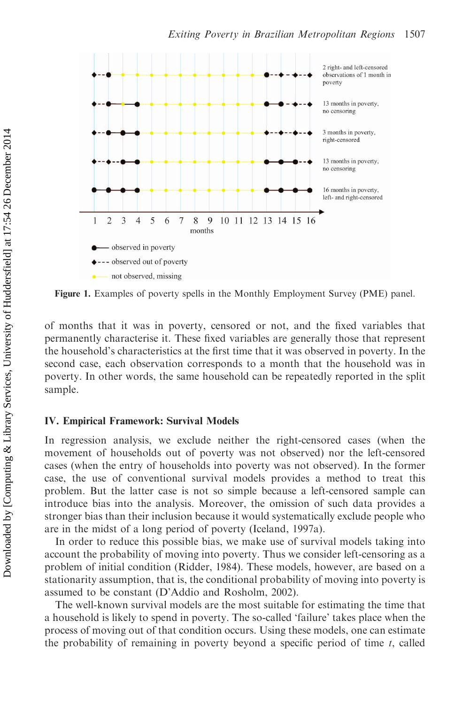

Figure 1. Examples of poverty spells in the Monthly Employment Survey (PME) panel.

of months that it was in poverty, censored or not, and the fixed variables that permanently characterise it. These fixed variables are generally those that represent the household's characteristics at the first time that it was observed in poverty. In the second case, each observation corresponds to a month that the household was in poverty. In other words, the same household can be repeatedly reported in the split sample.

#### IV. Empirical Framework: Survival Models

In regression analysis, we exclude neither the right-censored cases (when the movement of households out of poverty was not observed) nor the left-censored cases (when the entry of households into poverty was not observed). In the former case, the use of conventional survival models provides a method to treat this problem. But the latter case is not so simple because a left-censored sample can introduce bias into the analysis. Moreover, the omission of such data provides a stronger bias than their inclusion because it would systematically exclude people who are in the midst of a long period of poverty (Iceland, 1997a).

In order to reduce this possible bias, we make use of survival models taking into account the probability of moving into poverty. Thus we consider left-censoring as a problem of initial condition (Ridder, 1984). These models, however, are based on a stationarity assumption, that is, the conditional probability of moving into poverty is assumed to be constant (D'Addio and Rosholm, 2002).

The well-known survival models are the most suitable for estimating the time that a household is likely to spend in poverty. The so-called 'failure' takes place when the process of moving out of that condition occurs. Using these models, one can estimate the probability of remaining in poverty beyond a specific period of time  $t$ , called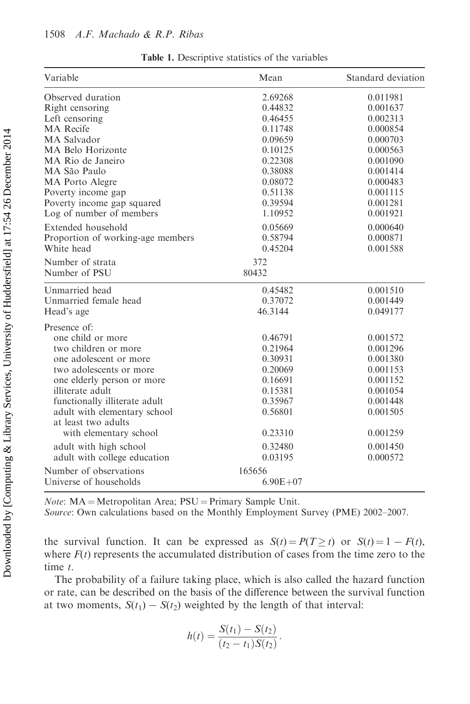| Variable                                                                                                                                                                                                                                                                           | Mean                                                                                                                  | Standard deviation                                                                                                               |
|------------------------------------------------------------------------------------------------------------------------------------------------------------------------------------------------------------------------------------------------------------------------------------|-----------------------------------------------------------------------------------------------------------------------|----------------------------------------------------------------------------------------------------------------------------------|
| Observed duration<br>Right censoring<br>Left censoring<br><b>MA</b> Recife<br>MA Salvador<br>MA Belo Horizonte<br>MA Rio de Janeiro<br>MA São Paulo<br>MA Porto Alegre<br>Poverty income gap<br>Poverty income gap squared                                                         | 2.69268<br>0.44832<br>0.46455<br>0.11748<br>0.09659<br>0.10125<br>0.22308<br>0.38088<br>0.08072<br>0.51138<br>0.39594 | 0.011981<br>0.001637<br>0.002313<br>0.000854<br>0.000703<br>0.000563<br>0.001090<br>0.001414<br>0.000483<br>0.001115<br>0.001281 |
| Log of number of members<br>Extended household<br>Proportion of working-age members<br>White head                                                                                                                                                                                  | 1.10952<br>0.05669<br>0.58794<br>0.45204                                                                              | 0.001921<br>0.000640<br>0.000871<br>0.001588                                                                                     |
| Number of strata<br>Number of PSU                                                                                                                                                                                                                                                  | 372<br>80432                                                                                                          |                                                                                                                                  |
| Unmarried head<br>Unmarried female head<br>Head's age                                                                                                                                                                                                                              | 0.45482<br>0.37072<br>46.3144                                                                                         | 0.001510<br>0.001449<br>0.049177                                                                                                 |
| Presence of:<br>one child or more<br>two children or more<br>one adolescent or more<br>two adolescents or more<br>one elderly person or more<br>illiterate adult<br>functionally illiterate adult<br>adult with elementary school<br>at least two adults<br>with elementary school | 0.46791<br>0.21964<br>0.30931<br>0.20069<br>0.16691<br>0.15381<br>0.35967<br>0.56801<br>0.23310                       | 0.001572<br>0.001296<br>0.001380<br>0.001153<br>0.001152<br>0.001054<br>0.001448<br>0.001505<br>0.001259                         |
| adult with high school<br>adult with college education<br>Number of observations<br>Universe of households                                                                                                                                                                         | 0.32480<br>0.03195<br>165656<br>$6.90E + 07$                                                                          | 0.001450<br>0.000572                                                                                                             |

Table 1. Descriptive statistics of the variables

*Note*:  $MA = Metropolitan Area$ ;  $PSU = Primary Sample Unit$ .

Source: Own calculations based on the Monthly Employment Survey (PME) 2002–2007.

the survival function. It can be expressed as  $S(t) = P(T \ge t)$  or  $S(t) = 1 - F(t)$ , where  $F(t)$  represents the accumulated distribution of cases from the time zero to the time t.

The probability of a failure taking place, which is also called the hazard function or rate, can be described on the basis of the difference between the survival function at two moments,  $S(t_1) - S(t_2)$  weighted by the length of that interval:

$$
h(t) = \frac{S(t_1) - S(t_2)}{(t_2 - t_1)S(t_2)}.
$$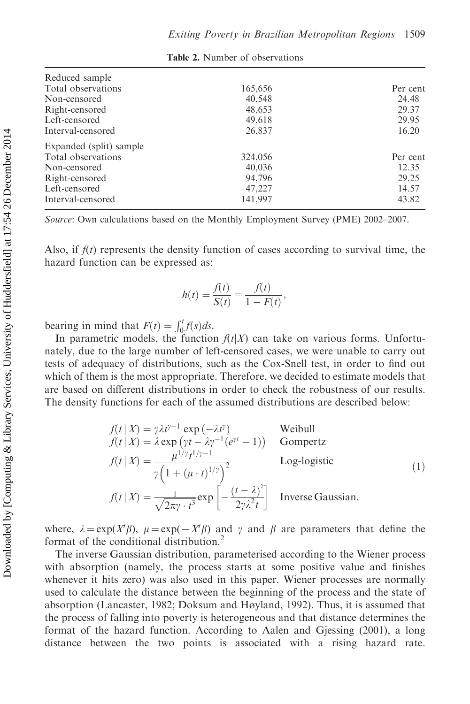| Reduced sample          |         |          |
|-------------------------|---------|----------|
| Total observations      | 165,656 | Per cent |
| Non-censored            | 40,548  | 24.48    |
| Right-censored          | 48,653  | 29.37    |
| Left-censored           | 49,618  | 29.95    |
| Interval-censored       | 26,837  | 16.20    |
| Expanded (split) sample |         |          |
| Total observations      | 324,056 | Per cent |
| Non-censored            | 40,036  | 12.35    |
| Right-censored          | 94.796  | 29.25    |
| Left-censored           | 47.227  | 14.57    |
| Interval-censored       | 141,997 | 43.82    |

Table 2. Number of observations

Source: Own calculations based on the Monthly Employment Survey (PME) 2002–2007.

Also, if  $f(t)$  represents the density function of cases according to survival time, the hazard function can be expressed as:

$$
h(t) = \frac{f(t)}{S(t)} = \frac{f(t)}{1 - F(t)},
$$

bearing in mind that  $F(t) = \int_0^t f(s) ds$ .

In parametric models, the function  $f(t|X)$  can take on various forms. Unfortunately, due to the large number of left-censored cases, we were unable to carry out tests of adequacy of distributions, such as the Cox-Snell test, in order to find out which of them is the most appropriate. Therefore, we decided to estimate models that are based on different distributions in order to check the robustness of our results. The density functions for each of the assumed distributions are described below:

$$
f(t|X) = \gamma \lambda t^{\gamma - 1} \exp(-\lambda t^{\gamma})
$$
 Weibull  
\n
$$
f(t|X) = \lambda \exp(\gamma t - \lambda \gamma^{-1} (e^{\gamma t} - 1))
$$
 Gompertz  
\n
$$
f(t|X) = \frac{\mu^{1/\gamma} t^{1/\gamma - 1}}{\gamma \left(1 + (\mu \cdot t)^{1/\gamma}\right)^2}
$$
 Log-logistic  
\n
$$
f(t|X) = \frac{1}{\sqrt{2\pi \gamma \cdot t^3}} \exp\left[-\frac{(t - \lambda)^2}{2\gamma \lambda^2 t}\right]
$$
 Inverse Gaussian, (1)

where,  $\lambda = \exp(X' \beta)$ ,  $\mu = \exp(-X' \beta)$  and  $\gamma$  and  $\beta$  are parameters that define the format of the conditional distribution.<sup>2</sup>

The inverse Gaussian distribution, parameterised according to the Wiener process with absorption (namely, the process starts at some positive value and finishes whenever it hits zero) was also used in this paper. Wiener processes are normally used to calculate the distance between the beginning of the process and the state of absorption (Lancaster, 1982; Doksum and Høyland, 1992). Thus, it is assumed that the process of falling into poverty is heterogeneous and that distance determines the format of the hazard function. According to Aalen and Gjessing (2001), a long distance between the two points is associated with a rising hazard rate.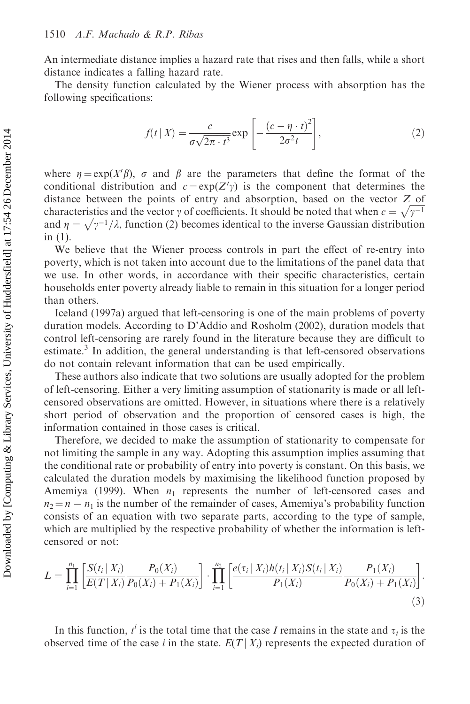An intermediate distance implies a hazard rate that rises and then falls, while a short distance indicates a falling hazard rate.

The density function calculated by the Wiener process with absorption has the following specifications:

$$
f(t | X) = \frac{c}{\sigma \sqrt{2\pi \cdot t^3}} \exp\left[ -\frac{(c - \eta \cdot t)^2}{2\sigma^2 t} \right],
$$
 (2)

where  $\eta = \exp(X' \beta)$ ,  $\sigma$  and  $\beta$  are the parameters that define the format of the conditional distribution and  $c = \exp(Z' \gamma)$  is the component that determines the distance between the points of entry and absorption, based on the vector  $Z$  of characteristics and the vector  $\gamma$  of coefficients. It should be noted that when  $c = \sqrt{\gamma^{-1}}$ and  $\eta = \sqrt{\gamma^{-1}}/\lambda$ , function (2) becomes identical to the inverse Gaussian distribution in (1).

We believe that the Wiener process controls in part the effect of re-entry into poverty, which is not taken into account due to the limitations of the panel data that we use. In other words, in accordance with their specific characteristics, certain households enter poverty already liable to remain in this situation for a longer period than others.

Iceland (1997a) argued that left-censoring is one of the main problems of poverty duration models. According to D'Addio and Rosholm (2002), duration models that control left-censoring are rarely found in the literature because they are difficult to estimate.<sup>3</sup> In addition, the general understanding is that left-censored observations do not contain relevant information that can be used empirically.

These authors also indicate that two solutions are usually adopted for the problem of left-censoring. Either a very limiting assumption of stationarity is made or all leftcensored observations are omitted. However, in situations where there is a relatively short period of observation and the proportion of censored cases is high, the information contained in those cases is critical.

Therefore, we decided to make the assumption of stationarity to compensate for not limiting the sample in any way. Adopting this assumption implies assuming that the conditional rate or probability of entry into poverty is constant. On this basis, we calculated the duration models by maximising the likelihood function proposed by Amemiya (1999). When  $n_1$  represents the number of left-censored cases and  $n_2 = n - n_1$  is the number of the remainder of cases, Amemiya's probability function consists of an equation with two separate parts, according to the type of sample, which are multiplied by the respective probability of whether the information is leftcensored or not:

$$
L = \prod_{i=1}^{n_1} \left[ \frac{S(t_i \mid X_i)}{E(T \mid X_i)} \frac{P_0(X_i)}{P_0(X_i) + P_1(X_i)} \right] \cdot \prod_{i=1}^{n_2} \left[ \frac{e(\tau_i \mid X_i)h(t_i \mid X_i)S(t_i \mid X_i)}{P_1(X_i)} \frac{P_1(X_i)}{P_0(X_i) + P_1(X_i)} \right].
$$
\n(3)

In this function,  $t^i$  is the total time that the case I remains in the state and  $\tau_i$  is the observed time of the case i in the state.  $E(T | X_i)$  represents the expected duration of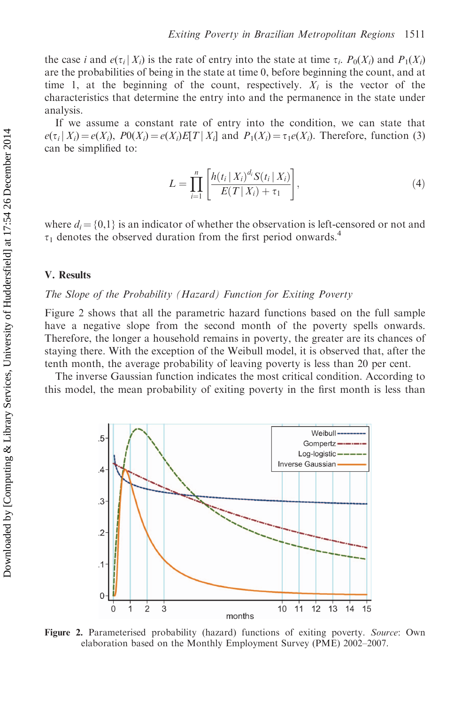the case i and  $e(\tau_i | X_i)$  is the rate of entry into the state at time  $\tau_i$ .  $P_0(X_i)$  and  $P_1(X_i)$ are the probabilities of being in the state at time 0, before beginning the count, and at time 1, at the beginning of the count, respectively.  $X_i$  is the vector of the characteristics that determine the entry into and the permanence in the state under analysis.

If we assume a constant rate of entry into the condition, we can state that  $e(\tau_i | X_i) = e(X_i)$ ,  $P0(X_i) = e(X_i)E[T | X_i]$  and  $P_1(X_i) = \tau_1 e(X_i)$ . Therefore, function (3) can be simplified to:

$$
L = \prod_{i=1}^{n} \left[ \frac{h(t_i \,|\, X_i)^{d_i} S(t_i \,|\, X_i)}{E(T \,|\, X_i) + \tau_1} \right],\tag{4}
$$

where  $d_i = \{0,1\}$  is an indicator of whether the observation is left-censored or not and  $\tau_1$  denotes the observed duration from the first period onwards.<sup>4</sup>

#### V. Results

# The Slope of the Probability (Hazard) Function for Exiting Poverty

Figure 2 shows that all the parametric hazard functions based on the full sample have a negative slope from the second month of the poverty spells onwards. Therefore, the longer a household remains in poverty, the greater are its chances of staying there. With the exception of the Weibull model, it is observed that, after the tenth month, the average probability of leaving poverty is less than 20 per cent.

The inverse Gaussian function indicates the most critical condition. According to this model, the mean probability of exiting poverty in the first month is less than



Figure 2. Parameterised probability (hazard) functions of exiting poverty. Source: Own elaboration based on the Monthly Employment Survey (PME) 2002–2007.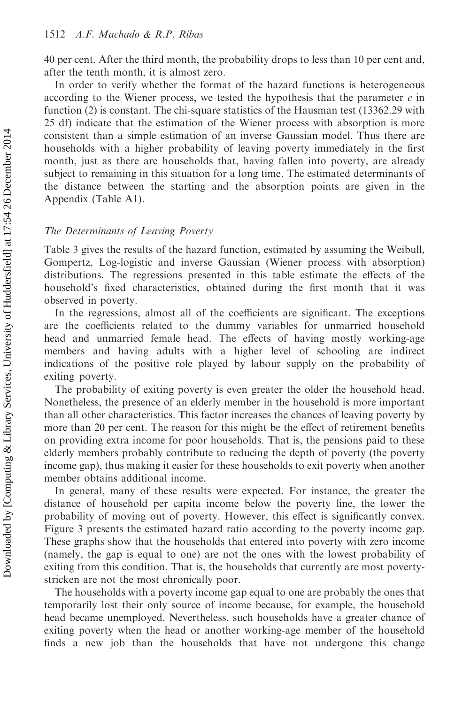40 per cent. After the third month, the probability drops to less than 10 per cent and, after the tenth month, it is almost zero.

In order to verify whether the format of the hazard functions is heterogeneous according to the Wiener process, we tested the hypothesis that the parameter  $c$  in function (2) is constant. The chi-square statistics of the Hausman test (13362.29 with 25 df) indicate that the estimation of the Wiener process with absorption is more consistent than a simple estimation of an inverse Gaussian model. Thus there are households with a higher probability of leaving poverty immediately in the first month, just as there are households that, having fallen into poverty, are already subject to remaining in this situation for a long time. The estimated determinants of the distance between the starting and the absorption points are given in the Appendix (Table A1).

#### The Determinants of Leaving Poverty

Table 3 gives the results of the hazard function, estimated by assuming the Weibull, Gompertz, Log-logistic and inverse Gaussian (Wiener process with absorption) distributions. The regressions presented in this table estimate the effects of the household's fixed characteristics, obtained during the first month that it was observed in poverty.

In the regressions, almost all of the coefficients are significant. The exceptions are the coefficients related to the dummy variables for unmarried household head and unmarried female head. The effects of having mostly working-age members and having adults with a higher level of schooling are indirect indications of the positive role played by labour supply on the probability of exiting poverty.

The probability of exiting poverty is even greater the older the household head. Nonetheless, the presence of an elderly member in the household is more important than all other characteristics. This factor increases the chances of leaving poverty by more than 20 per cent. The reason for this might be the effect of retirement benefits on providing extra income for poor households. That is, the pensions paid to these elderly members probably contribute to reducing the depth of poverty (the poverty income gap), thus making it easier for these households to exit poverty when another member obtains additional income.

In general, many of these results were expected. For instance, the greater the distance of household per capita income below the poverty line, the lower the probability of moving out of poverty. However, this effect is significantly convex. Figure 3 presents the estimated hazard ratio according to the poverty income gap. These graphs show that the households that entered into poverty with zero income (namely, the gap is equal to one) are not the ones with the lowest probability of exiting from this condition. That is, the households that currently are most povertystricken are not the most chronically poor.

The households with a poverty income gap equal to one are probably the ones that temporarily lost their only source of income because, for example, the household head became unemployed. Nevertheless, such households have a greater chance of exiting poverty when the head or another working-age member of the household finds a new job than the households that have not undergone this change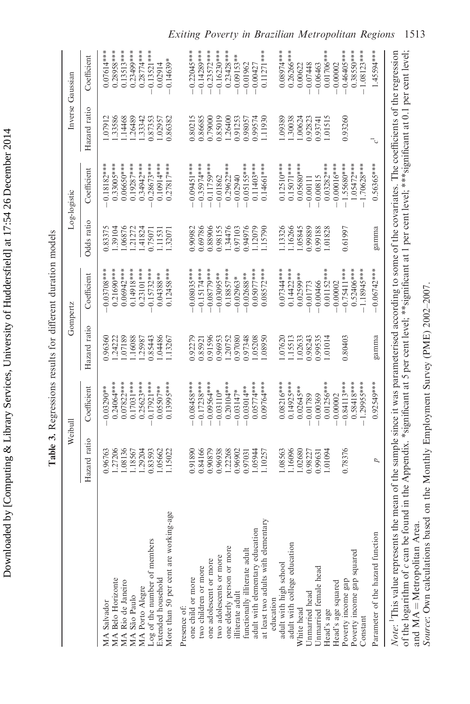| Hazard ratio<br>0.96360<br>1.24222<br>1.07189<br>0.85443<br>.16088<br>1.04486<br>13267<br>1.25987<br>$0.07822***$<br>$0.17031***$<br>$0.13995***$<br>$0.24064***$<br>$0.25623***$<br>$-0.17921***$<br>$-0.03290**$<br>$0.05507***$<br>Coefficient | $-0.03708***$<br>$0.06942***$<br>0.14918***<br>$0.12458***$<br>$-0.15174***$<br>$0.21690***$<br>$0.23101***$<br>$-0.15732***$<br>$-0.08035***$<br>$-0.08779***$<br>$0.04388***$<br>$-0.03095**$<br>Coefficient | Odds ratio<br>0.83375<br>1.06876<br>1.41824<br>0.88906<br>1.39104<br>.21272<br>0.90982<br>0.69786<br>0.75071<br>.11531<br>1.32071 | $-0.18182***$<br>$0.33005***$<br>$0.06650***$<br>$0.19287***$<br>Coefficient | Hazard ratio<br>.07912                                                                                                       | $0.07614***$<br>Coefficient                                                                     |
|---------------------------------------------------------------------------------------------------------------------------------------------------------------------------------------------------------------------------------------------------|----------------------------------------------------------------------------------------------------------------------------------------------------------------------------------------------------------------|-----------------------------------------------------------------------------------------------------------------------------------|------------------------------------------------------------------------------|------------------------------------------------------------------------------------------------------------------------------|-------------------------------------------------------------------------------------------------|
|                                                                                                                                                                                                                                                   |                                                                                                                                                                                                                |                                                                                                                                   |                                                                              |                                                                                                                              |                                                                                                 |
|                                                                                                                                                                                                                                                   |                                                                                                                                                                                                                |                                                                                                                                   |                                                                              |                                                                                                                              |                                                                                                 |
|                                                                                                                                                                                                                                                   |                                                                                                                                                                                                                |                                                                                                                                   |                                                                              | 1.14468<br>1.33586                                                                                                           | $0.28958***$<br>$0.13513***$                                                                    |
|                                                                                                                                                                                                                                                   |                                                                                                                                                                                                                |                                                                                                                                   |                                                                              | 1.26489                                                                                                                      | 0.23499***                                                                                      |
|                                                                                                                                                                                                                                                   |                                                                                                                                                                                                                |                                                                                                                                   | 0.34942***                                                                   | 1.33342                                                                                                                      | $0.28774***$                                                                                    |
|                                                                                                                                                                                                                                                   |                                                                                                                                                                                                                |                                                                                                                                   | $0.28673***$                                                                 | 0.87353                                                                                                                      | $-0.13521***$                                                                                   |
|                                                                                                                                                                                                                                                   |                                                                                                                                                                                                                |                                                                                                                                   | 0.10914***                                                                   | 1.02957                                                                                                                      | 0.02914                                                                                         |
|                                                                                                                                                                                                                                                   |                                                                                                                                                                                                                |                                                                                                                                   | $0.27817***$                                                                 | 0.86382                                                                                                                      | $-0.14639*$                                                                                     |
|                                                                                                                                                                                                                                                   |                                                                                                                                                                                                                |                                                                                                                                   |                                                                              |                                                                                                                              |                                                                                                 |
| 0.92279<br>$-0.08458***$                                                                                                                                                                                                                          |                                                                                                                                                                                                                |                                                                                                                                   | $-0.09451$ ***                                                               | 0.80215                                                                                                                      | $-0.22045***$                                                                                   |
| 0.85921<br>$-0.17238***$                                                                                                                                                                                                                          |                                                                                                                                                                                                                |                                                                                                                                   | $-0.35974***$                                                                | 0.86685                                                                                                                      | $-0.14289***$                                                                                   |
| $-0.09564***$                                                                                                                                                                                                                                     |                                                                                                                                                                                                                |                                                                                                                                   |                                                                              |                                                                                                                              | $-0.23572***$                                                                                   |
|                                                                                                                                                                                                                                                   |                                                                                                                                                                                                                | 0.98155                                                                                                                           | $-0.01862$                                                                   |                                                                                                                              | $-0.16230***$                                                                                   |
| 1.20752<br>$0.20104***$                                                                                                                                                                                                                           | $0.18857***$                                                                                                                                                                                                   | 1.34476                                                                                                                           | $0.29622***$                                                                 | 1.26400                                                                                                                      | $0.23428***$                                                                                    |
| 0.97080<br>$-0.03147*$                                                                                                                                                                                                                            | $-0.02963*$                                                                                                                                                                                                    | 0.97103                                                                                                                           | $-0.02940$                                                                   | 0.91253                                                                                                                      | $-0.09153**$                                                                                    |
| $-0.03014**$                                                                                                                                                                                                                                      |                                                                                                                                                                                                                | 0.94976                                                                                                                           |                                                                              |                                                                                                                              | $-0.01962$                                                                                      |
| 1.05208                                                                                                                                                                                                                                           | $0.05077***$                                                                                                                                                                                                   | 1.12079                                                                                                                           |                                                                              |                                                                                                                              | $-0.00427$                                                                                      |
| 1.08950<br>$0.09764***$                                                                                                                                                                                                                           |                                                                                                                                                                                                                | 1.15790                                                                                                                           | 0.14661***                                                                   |                                                                                                                              | $0.11271$ ***                                                                                   |
|                                                                                                                                                                                                                                                   |                                                                                                                                                                                                                |                                                                                                                                   |                                                                              |                                                                                                                              |                                                                                                 |
| .07620                                                                                                                                                                                                                                            |                                                                                                                                                                                                                | .13326                                                                                                                            | $0.12510***$                                                                 | .09389                                                                                                                       | $0.08974***$                                                                                    |
|                                                                                                                                                                                                                                                   | $0.14422***$                                                                                                                                                                                                   | .16266                                                                                                                            |                                                                              |                                                                                                                              | $0.26266***$                                                                                    |
| 1.02633<br>$0.02645**$                                                                                                                                                                                                                            | $0.02599**$                                                                                                                                                                                                    | 1.05845                                                                                                                           |                                                                              |                                                                                                                              | 0.00622                                                                                         |
| $-0.01789$                                                                                                                                                                                                                                        |                                                                                                                                                                                                                | 08866                                                                                                                             | $-0.00111$                                                                   |                                                                                                                              | $-0.07448$                                                                                      |
| 0.99535<br>$-0.00369$                                                                                                                                                                                                                             | $-0.00466$                                                                                                                                                                                                     | 0.99188                                                                                                                           | $-0.00815$                                                                   |                                                                                                                              | $-0.06463$                                                                                      |
| 1.01014<br>$0.01256***$                                                                                                                                                                                                                           | $0.01152***$                                                                                                                                                                                                   | 01828                                                                                                                             | $0.03282***$                                                                 | .01515                                                                                                                       | $0.01706***$                                                                                    |
|                                                                                                                                                                                                                                                   |                                                                                                                                                                                                                |                                                                                                                                   | $-0.00016$ ***                                                               |                                                                                                                              | $-0.00002$                                                                                      |
| 0.80403                                                                                                                                                                                                                                           |                                                                                                                                                                                                                | 0.61997                                                                                                                           |                                                                              | 0.93260                                                                                                                      | $-0.46405***$                                                                                   |
|                                                                                                                                                                                                                                                   |                                                                                                                                                                                                                |                                                                                                                                   |                                                                              |                                                                                                                              | $0.38550***$                                                                                    |
|                                                                                                                                                                                                                                                   |                                                                                                                                                                                                                |                                                                                                                                   |                                                                              |                                                                                                                              | $-1.08123***$                                                                                   |
| gamma<br>0.92549***                                                                                                                                                                                                                               | $-0.06742***$                                                                                                                                                                                                  | gamma                                                                                                                             | 0.56365***                                                                   | .<br>ت                                                                                                                       | 1.45594***                                                                                      |
| 0.97348<br>0.98243<br>.15513<br>0.91596<br>0.96953<br>$0.05774***$<br>$-0.84113***$<br>$-1.29955***$<br>$0.08216***$<br>$0.14925***$<br>$0.58418***$<br>$-0.03110*$<br>$-0.00002$                                                                 | $-0.75411***$<br>$0.08572***$<br>$0.52406***$<br>$-1.18945***$<br>$0.07344***$<br>$-0.02688**$<br>$-0.00002$<br>$-0.01773$                                                                                     |                                                                                                                                   |                                                                              | $-0.05155***$<br>$-0.11759***$<br>0.11403***<br>$0.15071***$<br>$0.05680***$<br>$-1.55680***$<br>1.05472***<br>$-1.70628***$ | 0.85019<br>0.98057<br>0.99574<br>1.11930<br>0.79000<br>1.30038<br>1.00624<br>0.92823<br>0.93741 |

Table 3. Regressions results for different duration models Table 3. Regressions results for different duration models

of the logarithm of c can be found in the Appendix. \*significant at 5 per cent level; \*\*significant at 1 per cent level; \*\*\*significant at 0.1 per cent level; Note: <sup>1</sup>This value represents the mean of the sample since it was parameterised according to some of the covariates. The coefficients of the regression Note:  $\text{This value represents the mean of the sample sine it was parameterised according to some of the covariates. The coefficients of the regression$ of the logarithm of c can be found in the Appendix. \*significant at 5 per cent level; \*\*significant at 1 per cent level; \*\*\*significant at 0.1 per cent level; Source: Own calculations based on the Monthly Employment Survey (PME) 2002-2007. Source: Own calculations based on the Monthly Employment Survey (PME) 2002–2007. Metropolitan Area. and MA

Downloaded by [Computing & Library Services, University of Huddersfield] at 17:54 26 December 2014

Downloaded by [Computing & Library Services, University of Huddersfield] at 17:54 26 December 2014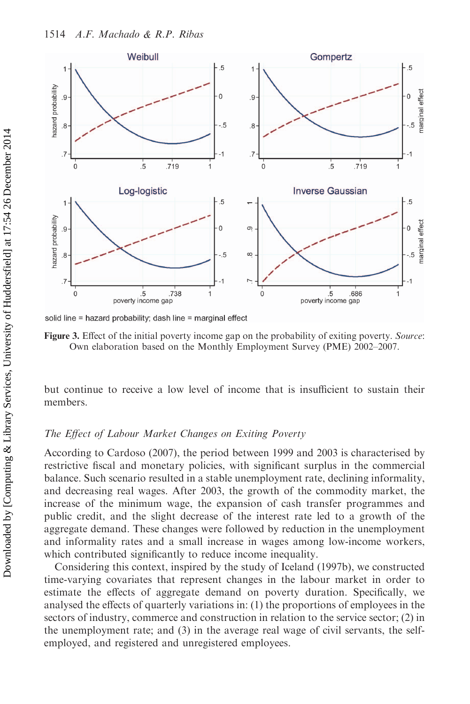

solid line = hazard probability; dash line = marginal effect

Figure 3. Effect of the initial poverty income gap on the probability of exiting poverty. Source: Own elaboration based on the Monthly Employment Survey (PME) 2002–2007.

but continue to receive a low level of income that is insufficient to sustain their members.

## The Effect of Labour Market Changes on Exiting Poverty

According to Cardoso (2007), the period between 1999 and 2003 is characterised by restrictive fiscal and monetary policies, with significant surplus in the commercial balance. Such scenario resulted in a stable unemployment rate, declining informality, and decreasing real wages. After 2003, the growth of the commodity market, the increase of the minimum wage, the expansion of cash transfer programmes and public credit, and the slight decrease of the interest rate led to a growth of the aggregate demand. These changes were followed by reduction in the unemployment and informality rates and a small increase in wages among low-income workers, which contributed significantly to reduce income inequality.

Considering this context, inspired by the study of Iceland (1997b), we constructed time-varying covariates that represent changes in the labour market in order to estimate the effects of aggregate demand on poverty duration. Specifically, we analysed the effects of quarterly variations in: (1) the proportions of employees in the sectors of industry, commerce and construction in relation to the service sector; (2) in the unemployment rate; and (3) in the average real wage of civil servants, the selfemployed, and registered and unregistered employees.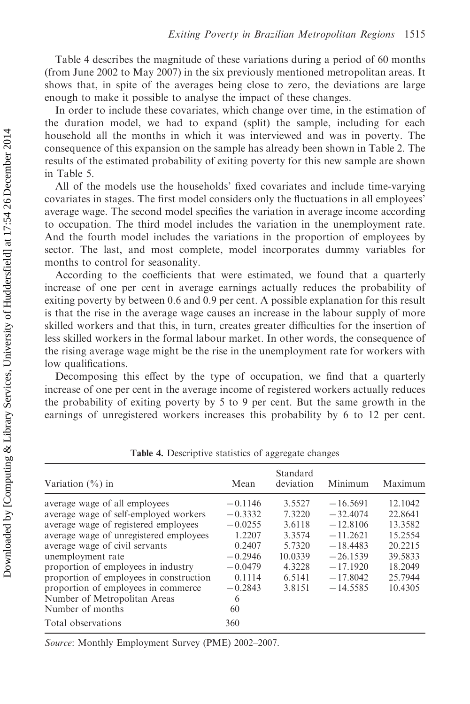Table 4 describes the magnitude of these variations during a period of 60 months (from June 2002 to May 2007) in the six previously mentioned metropolitan areas. It shows that, in spite of the averages being close to zero, the deviations are large enough to make it possible to analyse the impact of these changes.

In order to include these covariates, which change over time, in the estimation of the duration model, we had to expand (split) the sample, including for each household all the months in which it was interviewed and was in poverty. The consequence of this expansion on the sample has already been shown in Table 2. The results of the estimated probability of exiting poverty for this new sample are shown in Table 5.

All of the models use the households' fixed covariates and include time-varying covariates in stages. The first model considers only the fluctuations in all employees' average wage. The second model specifies the variation in average income according to occupation. The third model includes the variation in the unemployment rate. And the fourth model includes the variations in the proportion of employees by sector. The last, and most complete, model incorporates dummy variables for months to control for seasonality.

According to the coefficients that were estimated, we found that a quarterly increase of one per cent in average earnings actually reduces the probability of exiting poverty by between 0.6 and 0.9 per cent. A possible explanation for this result is that the rise in the average wage causes an increase in the labour supply of more skilled workers and that this, in turn, creates greater difficulties for the insertion of less skilled workers in the formal labour market. In other words, the consequence of the rising average wage might be the rise in the unemployment rate for workers with low qualifications.

Decomposing this effect by the type of occupation, we find that a quarterly increase of one per cent in the average income of registered workers actually reduces the probability of exiting poverty by 5 to 9 per cent. But the same growth in the earnings of unregistered workers increases this probability by 6 to 12 per cent.

| Variation $(\% )$ in                                                                                                                                                                                                                                                                                                                                                     | Mean                                                                                                          | Standard<br>deviation                                                                   | Minimum                                                                                                                    | Maximum                                                                                         |
|--------------------------------------------------------------------------------------------------------------------------------------------------------------------------------------------------------------------------------------------------------------------------------------------------------------------------------------------------------------------------|---------------------------------------------------------------------------------------------------------------|-----------------------------------------------------------------------------------------|----------------------------------------------------------------------------------------------------------------------------|-------------------------------------------------------------------------------------------------|
| average wage of all employees<br>average wage of self-employed workers<br>average wage of registered employees<br>average wage of unregistered employees<br>average wage of civil servants<br>unemployment rate<br>proportion of employees in industry<br>proportion of employees in construction<br>proportion of employees in commerce<br>Number of Metropolitan Areas | $-0.1146$<br>$-0.3332$<br>$-0.0255$<br>1.2207<br>0.2407<br>$-0.2946$<br>$-0.0479$<br>0.1114<br>$-0.2843$<br>6 | 3.5527<br>7.3220<br>3.6118<br>3.3574<br>5.7320<br>10.0339<br>4.3228<br>6.5141<br>3.8151 | $-16.5691$<br>$-32.4074$<br>$-12.8106$<br>$-11.2621$<br>$-18.4483$<br>$-26.1539$<br>$-17.1920$<br>$-17.8042$<br>$-14.5585$ | 12.1042<br>22.8641<br>13.3582<br>15.2554<br>20.2215<br>39.5833<br>18.2049<br>25.7944<br>10.4305 |
| Number of months<br>Total observations                                                                                                                                                                                                                                                                                                                                   | 60<br>360                                                                                                     |                                                                                         |                                                                                                                            |                                                                                                 |

Table 4. Descriptive statistics of aggregate changes

Source: Monthly Employment Survey (PME) 2002–2007.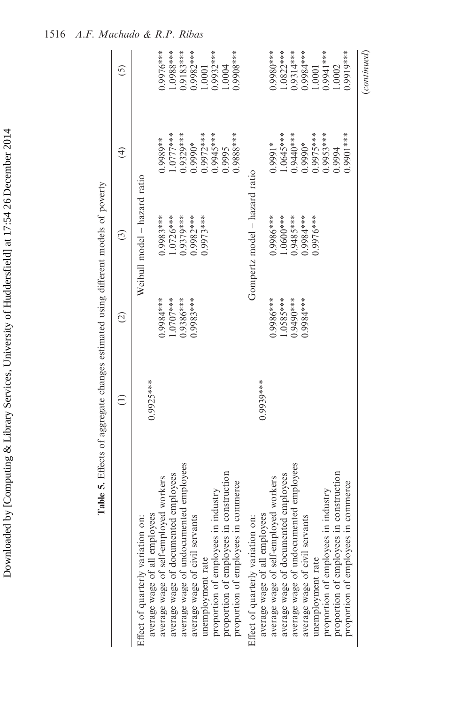|                                                                    | A spice of the contraction of aggregate contract and the contract of the contract of the contract of the contract of the contract of the contract of the contract of the contract of the contract of the contract of the contr |               |                               |               |                  |
|--------------------------------------------------------------------|--------------------------------------------------------------------------------------------------------------------------------------------------------------------------------------------------------------------------------|---------------|-------------------------------|---------------|------------------|
|                                                                    | $\widehat{\Xi}$                                                                                                                                                                                                                | $\widehat{c}$ | $\widehat{\mathbf{c}}$        | $\widehat{4}$ | <u>ි</u>         |
| average wage of all employees<br>Effect of quarterly variation on: | 0.9925***                                                                                                                                                                                                                      |               | Weibull model -- hazard ratio |               |                  |
| average wage of self-employed workers                              |                                                                                                                                                                                                                                | 1.9984***     | $0.9983***$                   | 1.9989**      | 1.9976***        |
| average wage of documented employees                               |                                                                                                                                                                                                                                | $1.0707***$   | $1.0726***$                   | $1.077$ ***   | 1.0988***        |
| average wage of undocumented employees                             |                                                                                                                                                                                                                                | $0.9386***$   | 0.9379***                     | $0.9329***$   | 1.9183***        |
| average wage of civil servants                                     |                                                                                                                                                                                                                                | 0.9983***     | 0.9982****                    | 0.9990*       | 1.9982 ***       |
| unemployment rate                                                  |                                                                                                                                                                                                                                |               | $0.9973***$                   | 0.9972***     | 1.0001           |
| proportion of employees in industry                                |                                                                                                                                                                                                                                |               |                               | $0.9945***$   | $0.9932***$      |
| proportion of employees in construction                            |                                                                                                                                                                                                                                |               |                               | 0.9995        | 1.0004           |
| proportion of employees in commerce                                |                                                                                                                                                                                                                                |               |                               | $0.9888***$   | 1.9908***        |
| average wage of all employees<br>Effect of quarterly variation on: | 0.9939***                                                                                                                                                                                                                      |               | Gompertz model - hazard ratio |               |                  |
| average wage of self-employed workers                              |                                                                                                                                                                                                                                | 1.9986 ***    | 1.9986 ***                    | 1,9991*       | 1.9980***        |
| average wage of documented employees                               |                                                                                                                                                                                                                                | $1.0585***$   | $1.0600***$                   | 1.0645***     | $1.0822***$      |
| average wage of undocumented employees                             |                                                                                                                                                                                                                                | ***0.9490***  | 0.9485***                     | 0.9440***     | 0.9314***        |
| average wage of civil servants                                     |                                                                                                                                                                                                                                | 0.9984***     | 0.9984***                     | 0.9990*       | 1.9984***        |
| unemployment rate                                                  |                                                                                                                                                                                                                                |               | 0.9976***                     | 0.9975***     | 1.0001           |
| proportion of employees in industry                                |                                                                                                                                                                                                                                |               |                               | 0.9953****    | 1.9941 ***       |
| proportion of employees in construction                            |                                                                                                                                                                                                                                |               |                               | 0.9994        | 1.0002           |
| commerce<br>proportion of employees in                             |                                                                                                                                                                                                                                |               |                               | 0.9901***     | 0.9919***        |
|                                                                    |                                                                                                                                                                                                                                |               |                               |               | $_{(continued)}$ |

**Table 5.** Effects of aggregate changes estimated using different models of poverty Table 5. Effects of aggregate changes estimated using different models of poverty

Downloaded by [Computing & Library Services, University of Huddersfield] at 17:54 26 December 2014 Downloaded by [Computing & Library Services, University of Huddersfield] at 17:54 26 December 2014

# 1516 A.F. Machado & R.P. Ribas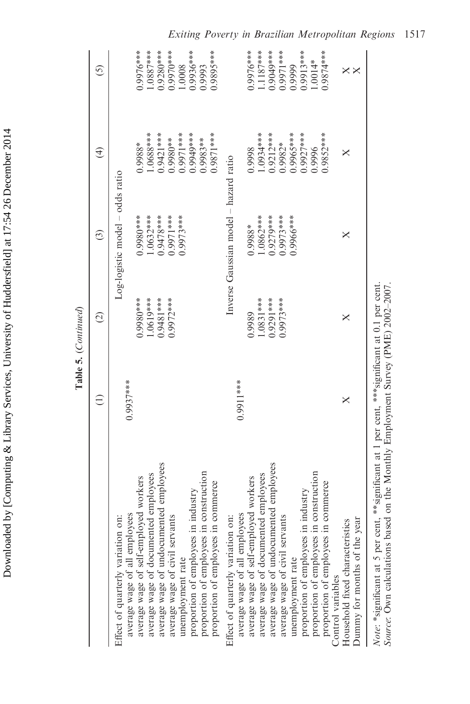|                                                                                                                                                                                   | Ξ          | $\widehat{\circ}$       | ි                                     | $\hat{t}$                  | <u>ර</u>                 |
|-----------------------------------------------------------------------------------------------------------------------------------------------------------------------------------|------------|-------------------------|---------------------------------------|----------------------------|--------------------------|
| Effect of quarterly variation on:                                                                                                                                                 | 0.9937***  |                         | Log-logistic model - odds ratio       |                            |                          |
| average wage of all employees<br>average wage of self-employed workers                                                                                                            |            | ***08666                | 1.9980***                             | \$8866.1                   | 1.9976***                |
| average wage of undocumented employees<br>average wage of documented employees                                                                                                    |            | 1.0619***<br>1.9481 *** | $0.9478***$<br>$1.0632***$            | $1.0688***$<br>$0.9421***$ | 1.0887***<br>$0.9280***$ |
| average wage of civil servants                                                                                                                                                    |            | 0.9972***               | 0.9971***                             | 1.9980**                   | $0.9970$ ***             |
| unemployment rate                                                                                                                                                                 |            |                         | 0.9973***                             | 1.9971***                  | 1.0008                   |
| industry<br>proportion of employees in                                                                                                                                            |            |                         |                                       | 0.9949***                  | 0.9936***                |
| proportion of employees in construction                                                                                                                                           |            |                         |                                       | 0.9983**                   | 0.9993                   |
| proportion of employees in commerce                                                                                                                                               |            |                         |                                       | $0.9871***$                | 0.9895 ***               |
| average wage of all employees<br>Effect of quarterly variation on:                                                                                                                | 0.9911 *** |                         | Inverse Gaussian model - hazard ratio |                            |                          |
| average wage of self-employed workers                                                                                                                                             |            | 0.9989                  | 1.9988*                               | 0.9998                     | 0.9976***                |
| average wage of documented employees                                                                                                                                              |            | 1.0831 ***              | 1.0862***                             | $1.0934***$                | 1.1187***                |
| average wage of undocumented employees                                                                                                                                            |            | 1.9291 ***              | $0.9279***$                           | $0.9212***$                | 0.9049***                |
|                                                                                                                                                                                   |            |                         |                                       |                            |                          |
| average wage of civil servants                                                                                                                                                    |            | 0.9973***               | $0.9973***$                           | 1.9982*                    | 0.9971***                |
| unemployment rate                                                                                                                                                                 |            |                         | 0.9966***                             | $0.9965***$                | 0.9999                   |
| industry<br>proportion of employees in                                                                                                                                            |            |                         |                                       | 0.9927***                  | $0.9913***$              |
| proportion of employees in construction                                                                                                                                           |            |                         |                                       | 0.9996                     | $1.0014*$                |
| proportion of employees in commerce                                                                                                                                               |            |                         |                                       | $0.9852***$                | 0.9874***                |
| Control variables                                                                                                                                                                 |            |                         |                                       |                            |                          |
| Household fixed characteristics                                                                                                                                                   | $\times$   | $\times$                | ×                                     | ×                          |                          |
| Dummy for months of the year                                                                                                                                                      |            |                         |                                       |                            | $\times$                 |
| Note: *significant at 5 per cent, **significant at 1 per cent, ***significant at 0.1 per cent.<br>Source: Own calculations based on the Monthly Employment Survey (PME) 2002-2007 |            |                         |                                       |                            |                          |

Table 5. (Continued) Table 5. (Continued)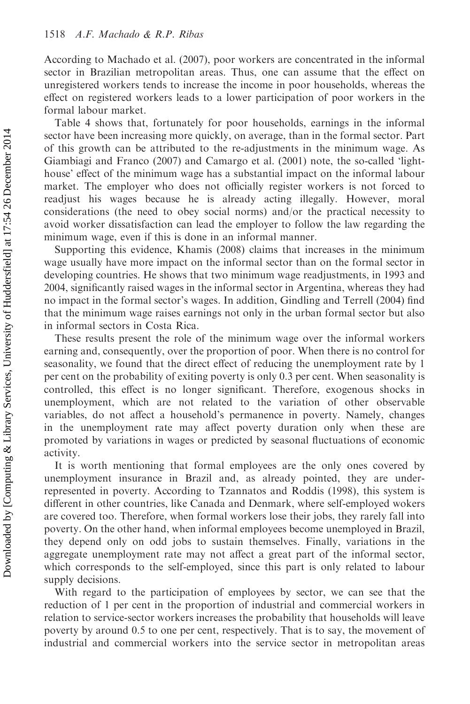According to Machado et al. (2007), poor workers are concentrated in the informal sector in Brazilian metropolitan areas. Thus, one can assume that the effect on unregistered workers tends to increase the income in poor households, whereas the effect on registered workers leads to a lower participation of poor workers in the formal labour market.

Table 4 shows that, fortunately for poor households, earnings in the informal sector have been increasing more quickly, on average, than in the formal sector. Part of this growth can be attributed to the re-adjustments in the minimum wage. As Giambiagi and Franco (2007) and Camargo et al. (2001) note, the so-called 'lighthouse' effect of the minimum wage has a substantial impact on the informal labour market. The employer who does not officially register workers is not forced to readjust his wages because he is already acting illegally. However, moral considerations (the need to obey social norms) and/or the practical necessity to avoid worker dissatisfaction can lead the employer to follow the law regarding the minimum wage, even if this is done in an informal manner.

Supporting this evidence, Khamis (2008) claims that increases in the minimum wage usually have more impact on the informal sector than on the formal sector in developing countries. He shows that two minimum wage readjustments, in 1993 and 2004, significantly raised wages in the informal sector in Argentina, whereas they had no impact in the formal sector's wages. In addition, Gindling and Terrell (2004) find that the minimum wage raises earnings not only in the urban formal sector but also in informal sectors in Costa Rica.

These results present the role of the minimum wage over the informal workers earning and, consequently, over the proportion of poor. When there is no control for seasonality, we found that the direct effect of reducing the unemployment rate by 1 per cent on the probability of exiting poverty is only 0.3 per cent. When seasonality is controlled, this effect is no longer significant. Therefore, exogenous shocks in unemployment, which are not related to the variation of other observable variables, do not affect a household's permanence in poverty. Namely, changes in the unemployment rate may affect poverty duration only when these are promoted by variations in wages or predicted by seasonal fluctuations of economic activity.

It is worth mentioning that formal employees are the only ones covered by unemployment insurance in Brazil and, as already pointed, they are underrepresented in poverty. According to Tzannatos and Roddis (1998), this system is different in other countries, like Canada and Denmark, where self-employed wokers are covered too. Therefore, when formal workers lose their jobs, they rarely fall into poverty. On the other hand, when informal employees become unemployed in Brazil, they depend only on odd jobs to sustain themselves. Finally, variations in the aggregate unemployment rate may not affect a great part of the informal sector, which corresponds to the self-employed, since this part is only related to labour supply decisions.

With regard to the participation of employees by sector, we can see that the reduction of 1 per cent in the proportion of industrial and commercial workers in relation to service-sector workers increases the probability that households will leave poverty by around 0.5 to one per cent, respectively. That is to say, the movement of industrial and commercial workers into the service sector in metropolitan areas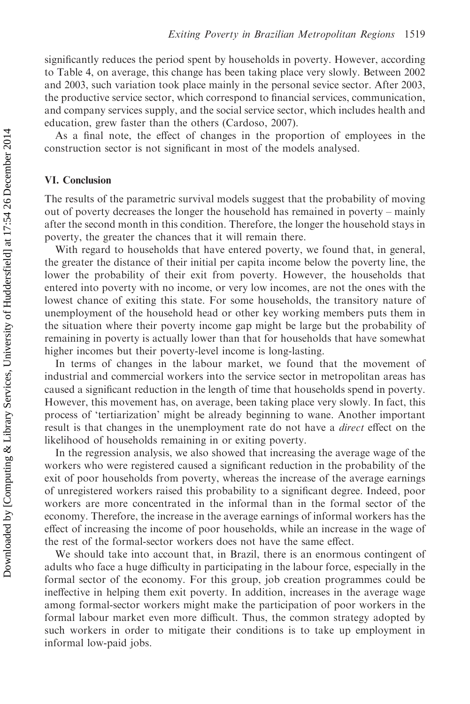significantly reduces the period spent by households in poverty. However, according to Table 4, on average, this change has been taking place very slowly. Between 2002 and 2003, such variation took place mainly in the personal sevice sector. After 2003, the productive service sector, which correspond to financial services, communication, and company services supply, and the social service sector, which includes health and education, grew faster than the others (Cardoso, 2007).

As a final note, the effect of changes in the proportion of employees in the construction sector is not significant in most of the models analysed.

# VI. Conclusion

The results of the parametric survival models suggest that the probability of moving out of poverty decreases the longer the household has remained in poverty – mainly after the second month in this condition. Therefore, the longer the household stays in poverty, the greater the chances that it will remain there.

With regard to households that have entered poverty, we found that, in general, the greater the distance of their initial per capita income below the poverty line, the lower the probability of their exit from poverty. However, the households that entered into poverty with no income, or very low incomes, are not the ones with the lowest chance of exiting this state. For some households, the transitory nature of unemployment of the household head or other key working members puts them in the situation where their poverty income gap might be large but the probability of remaining in poverty is actually lower than that for households that have somewhat higher incomes but their poverty-level income is long-lasting.

In terms of changes in the labour market, we found that the movement of industrial and commercial workers into the service sector in metropolitan areas has caused a significant reduction in the length of time that households spend in poverty. However, this movement has, on average, been taking place very slowly. In fact, this process of 'tertiarization' might be already beginning to wane. Another important result is that changes in the unemployment rate do not have a *direct* effect on the likelihood of households remaining in or exiting poverty.

In the regression analysis, we also showed that increasing the average wage of the workers who were registered caused a significant reduction in the probability of the exit of poor households from poverty, whereas the increase of the average earnings of unregistered workers raised this probability to a significant degree. Indeed, poor workers are more concentrated in the informal than in the formal sector of the economy. Therefore, the increase in the average earnings of informal workers has the effect of increasing the income of poor households, while an increase in the wage of the rest of the formal-sector workers does not have the same effect.

We should take into account that, in Brazil, there is an enormous contingent of adults who face a huge difficulty in participating in the labour force, especially in the formal sector of the economy. For this group, job creation programmes could be ineffective in helping them exit poverty. In addition, increases in the average wage among formal-sector workers might make the participation of poor workers in the formal labour market even more difficult. Thus, the common strategy adopted by such workers in order to mitigate their conditions is to take up employment in informal low-paid jobs.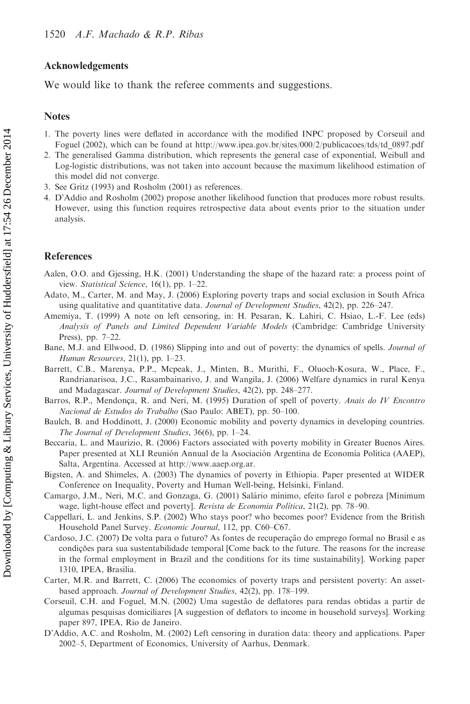#### Acknowledgements

We would like to thank the referee comments and suggestions.

#### **Notes**

- 1. The poverty lines were deflated in accordance with the modified INPC proposed by Corseuil and Foguel (2002), which can be found at [http://www.ipea.gov.br/sites/000/2/publicacoes/tds/td\\_0897.pdf](www.ipea.gov.br/sites/000/2/publicacoes/tds/td_0897.pdf)
- 2. The generalised Gamma distribution, which represents the general case of exponential, Weibull and Log-logistic distributions, was not taken into account because the maximum likelihood estimation of this model did not converge.
- 3. See Gritz (1993) and Rosholm (2001) as references.
- 4. D'Addio and Rosholm (2002) propose another likelihood function that produces more robust results. However, using this function requires retrospective data about events prior to the situation under analysis.

#### References

- Aalen, O.O. and Gjessing, H.K. (2001) Understanding the shape of the hazard rate: a process point of view. Statistical Science, 16(1), pp. 1–22.
- Adato, M., Carter, M. and May, J. (2006) Exploring poverty traps and social exclusion in South Africa using qualitative and quantitative data. Journal of Development Studies, 42(2), pp. 226-247.
- Amemiya, T. (1999) A note on left censoring, in: H. Pesaran, K. Lahiri, C. Hsiao, L.-F. Lee (eds) Analysis of Panels and Limited Dependent Variable Models (Cambridge: Cambridge University Press), pp. 7–22.
- Bane, M.J. and Ellwood, D. (1986) Slipping into and out of poverty: the dynamics of spells. Journal of Human Resources, 21(1), pp. 1–23.
- Barrett, C.B., Marenya, P.P., Mcpeak, J., Minten, B., Murithi, F., Oluoch-Kosura, W., Place, F., Randrianarisoa, J.C., Rasambainarivo, J. and Wangila, J. (2006) Welfare dynamics in rural Kenya and Madagascar. Journal of Development Studies, 42(2), pp. 248–277.
- Barros, R.P., Mendonca, R. and Neri, M. (1995) Duration of spell of poverty. Anais do IV Encontro Nacional de Estudos do Trabalho (Sao Paulo: ABET), pp. 50–100.
- Baulch, B. and Hoddinott, J. (2000) Economic mobility and poverty dynamics in developing countries. The Journal of Development Studies, 36(6), pp. 1–24.
- Beccaria, L. and Maurízio, R. (2006) Factors associated with poverty mobility in Greater Buenos Aires. Paper presented at XLI Reunión Annual de la Asociación Argentina de Economía Política (AAEP), Salta, Argentina. Accessed at http://www.aaep.org.ar.
- Bigsten, A. and Shimeles, A. (2003) The dynamics of poverty in Ethiopia. Paper presented at WIDER Conference on Inequality, Poverty and Human Well-being, Helsinki, Finland.
- Camargo, J.M., Neri, M.C. and Gonzaga, G. (2001) Salário mínimo, efeito farol e pobreza [Minimum wage, light-house effect and poverty]. Revista de Economia Política, 21(2), pp. 78-90.
- Cappellari, L. and Jenkins, S.P. (2002) Who stays poor? who becomes poor? Evidence from the British Household Panel Survey. Economic Journal, 112, pp. C60–C67.
- Cardoso, J.C. (2007) De volta para o futuro? As fontes de recuperação do emprego formal no Brasil e as condições para sua sustentabilidade temporal [Come back to the future. The reasons for the increase in the formal employment in Brazil and the conditions for its time sustainability]. Working paper 1310, IPEA, Brasília.
- Carter, M.R. and Barrett, C. (2006) The economics of poverty traps and persistent poverty: An assetbased approach. Journal of Development Studies, 42(2), pp. 178–199.
- Corseuil, C.H. and Foguel, M.N. (2002) Uma sugestão de deflatores para rendas obtidas a partir de algumas pesquisas domiciliares [A suggestion of deflators to income in household surveys]. Working paper 897, IPEA, Rio de Janeiro.
- D'Addio, A.C. and Rosholm, M. (2002) Left censoring in duration data: theory and applications. Paper 2002–5, Department of Economics, University of Aarhus, Denmark.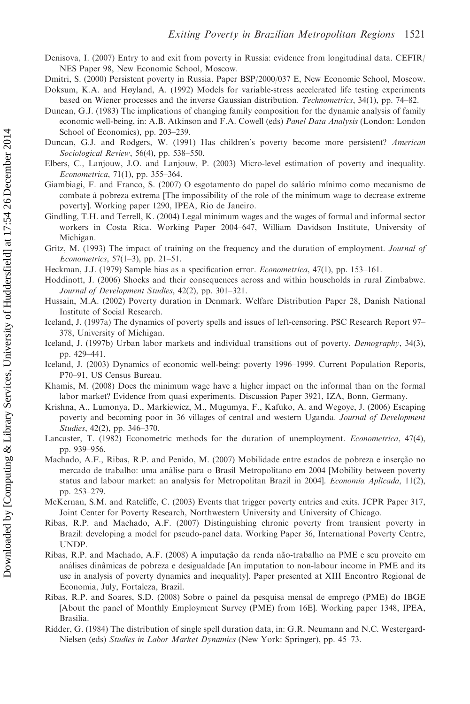- Denisova, I. (2007) Entry to and exit from poverty in Russia: evidence from longitudinal data. CEFIR/ NES Paper 98, New Economic School, Moscow.
- Dmitri, S. (2000) Persistent poverty in Russia. Paper BSP/2000/037 E, New Economic School, Moscow. Doksum, K.A. and Høyland, A. (1992) Models for variable-stress accelerated life testing experiments
	- based on Wiener processes and the inverse Gaussian distribution. Technometrics, 34(1), pp. 74–82.
- Duncan, G.J. (1983) The implications of changing family composition for the dynamic analysis of family economic well-being, in: A.B. Atkinson and F.A. Cowell (eds) *Panel Data Analysis* (London: London School of Economics), pp. 203–239.
- Duncan, G.J. and Rodgers, W. (1991) Has children's poverty become more persistent? American Sociological Review, 56(4), pp. 538–550.
- Elbers, C., Lanjouw, J.O. and Lanjouw, P. (2003) Micro-level estimation of poverty and inequality. Econometrica, 71(1), pp. 355–364.
- Giambiagi, F. and Franco, S. (2007) O esgotamento do papel do salário mínimo como mecanismo de combate a` pobreza extrema [The impossibility of the role of the minimum wage to decrease extreme poverty]. Working paper 1290, IPEA, Rio de Janeiro.
- Gindling, T.H. and Terrell, K. (2004) Legal minimum wages and the wages of formal and informal sector workers in Costa Rica. Working Paper 2004–647, William Davidson Institute, University of Michigan.
- Gritz, M. (1993) The impact of training on the frequency and the duration of employment. Journal of Econometrics, 57(1–3), pp. 21–51.
- Heckman, J.J. (1979) Sample bias as a specification error. Econometrica, 47(1), pp. 153–161.
- Hoddinott, J. (2006) Shocks and their consequences across and within households in rural Zimbabwe. Journal of Development Studies, 42(2), pp. 301–321.
- Hussain, M.A. (2002) Poverty duration in Denmark. Welfare Distribution Paper 28, Danish National Institute of Social Research.
- Iceland, J. (1997a) The dynamics of poverty spells and issues of left-censoring. PSC Research Report 97– 378, University of Michigan.
- Iceland, J. (1997b) Urban labor markets and individual transitions out of poverty. Demography, 34(3), pp. 429–441.
- Iceland, J. (2003) Dynamics of economic well-being: poverty 1996–1999. Current Population Reports, P70–91, US Census Bureau.
- Khamis, M. (2008) Does the minimum wage have a higher impact on the informal than on the formal labor market? Evidence from quasi experiments. Discussion Paper 3921, IZA, Bonn, Germany.
- Krishna, A., Lumonya, D., Markiewicz, M., Mugumya, F., Kafuko, A. and Wegoye, J. (2006) Escaping poverty and becoming poor in 36 villages of central and western Uganda. Journal of Development Studies, 42(2), pp. 346–370.
- Lancaster, T. (1982) Econometric methods for the duration of unemployment. *Econometrica*, 47(4), pp. 939–956.
- Machado, A.F., Ribas, R.P. and Penido, M. (2007) Mobilidade entre estados de pobreza e inserção no mercado de trabalho: uma análise para o Brasil Metropolitano em 2004 [Mobility between poverty status and labour market: an analysis for Metropolitan Brazil in 2004]. Economia Aplicada, 11(2), pp. 253–279.
- McKernan, S.M. and Ratcliffe, C. (2003) Events that trigger poverty entries and exits. JCPR Paper 317, Joint Center for Poverty Research, Northwestern University and University of Chicago.
- Ribas, R.P. and Machado, A.F. (2007) Distinguishing chronic poverty from transient poverty in Brazil: developing a model for pseudo-panel data. Working Paper 36, International Poverty Centre, UNDP.
- Ribas, R.P. and Machado, A.F. (2008) A imputação da renda não-trabalho na PME e seu proveito em análises dinâmicas de pobreza e desigualdade [An imputation to non-labour income in PME and its use in analysis of poverty dynamics and inequality]. Paper presented at XIII Encontro Regional de Economia, July, Fortaleza, Brazil.
- Ribas, R.P. and Soares, S.D. (2008) Sobre o painel da pesquisa mensal de emprego (PME) do IBGE [About the panel of Monthly Employment Survey (PME) from 16E]. Working paper 1348, IPEA, Brasília.
- Ridder, G. (1984) The distribution of single spell duration data, in: G.R. Neumann and N.C. Westergard-Nielsen (eds) Studies in Labor Market Dynamics (New York: Springer), pp. 45–73.